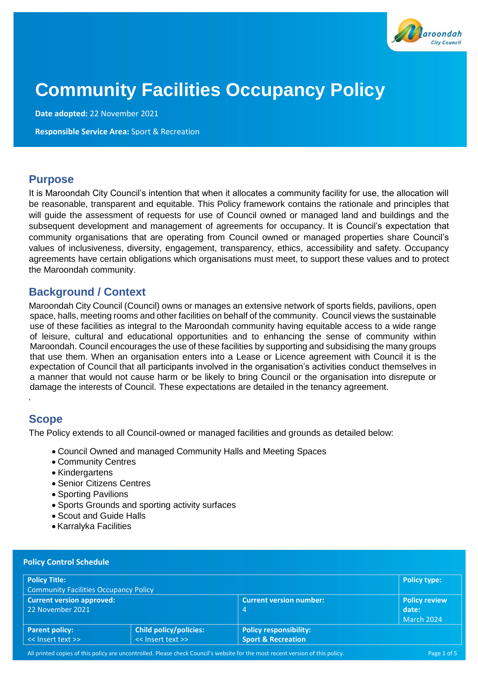

# **Community Facilities Occupancy Policy**

**Date adopted:** 22 November 2021

**Responsible Service Area:** Sport & Recreation

### **Purpose**

It is Maroondah City Council's intention that when it allocates a community facility for use, the allocation will be reasonable, transparent and equitable. This Policy framework contains the rationale and principles that will guide the assessment of requests for use of Council owned or managed land and buildings and the subsequent development and management of agreements for occupancy. It is Council's expectation that community organisations that are operating from Council owned or managed properties share Council's values of inclusiveness, diversity, engagement, transparency, ethics, accessibility and safety. Occupancy agreements have certain obligations which organisations must meet, to support these values and to protect the Maroondah community.

# **Background / Context**

Maroondah City Council (Council) owns or manages an extensive network of sports fields, pavilions, open space, halls, meeting rooms and other facilities on behalf of the community. Council views the sustainable use of these facilities as integral to the Maroondah community having equitable access to a wide range of leisure, cultural and educational opportunities and to enhancing the sense of community within Maroondah. Council encourages the use of these facilities by supporting and subsidising the many groups that use them. When an organisation enters into a Lease or Licence agreement with Council it is the expectation of Council that all participants involved in the organisation's activities conduct themselves in a manner that would not cause harm or be likely to bring Council or the organisation into disrepute or damage the interests of Council. These expectations are detailed in the tenancy agreement.

# **Scope**

*.*

The Policy extends to all Council-owned or managed facilities and grounds as detailed below:

- Council Owned and managed Community Halls and Meeting Spaces
- Community Centres
- Kindergartens
- Senior Citizens Centres
- Sporting Pavilions
- Sports Grounds and sporting activity surfaces
- Scout and Guide Halls
- Karralyka Facilities

| <b>Policy Title:</b>                         |                               |                                | <b>Policy type:</b> |
|----------------------------------------------|-------------------------------|--------------------------------|---------------------|
| <b>Community Facilities Occupancy Policy</b> |                               |                                |                     |
| <b>Current version approved:</b>             |                               | <b>Current version number:</b> | Policy review       |
| 22 November 2021                             |                               | $\overline{4}$                 | date:               |
|                                              |                               |                                | March 2024          |
| <b>Parent policy:</b>                        | <b>Child policy/policies:</b> | <b>Policy responsibility:</b>  |                     |
| << Insert text >>                            | << Insert text >>             | <b>Sport &amp; Recreation</b>  |                     |

All printed copies of this policy are uncontrolled. Please check Council's website for the most recent version of this policy. Page 1 of 5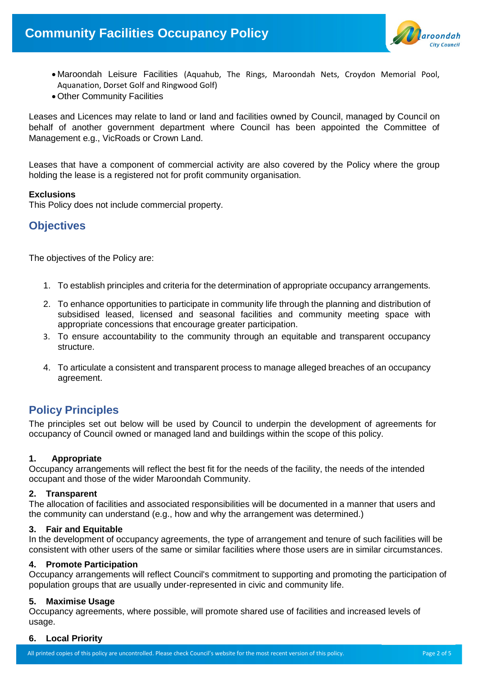

- Maroondah Leisure Facilities (Aquahub, The Rings, Maroondah Nets, Croydon Memorial Pool, Aquanation, Dorset Golf and Ringwood Golf)
- Other Community Facilities

Leases and Licences may relate to land or land and facilities owned by Council, managed by Council on behalf of another government department where Council has been appointed the Committee of Management e.g., VicRoads or Crown Land.

Leases that have a component of commercial activity are also covered by the Policy where the group holding the lease is a registered not for profit community organisation.

### **Exclusions**

This Policy does not include commercial property.

### **Objectives**

The objectives of the Policy are:

- 1. To establish principles and criteria for the determination of appropriate occupancy arrangements.
- 2. To enhance opportunities to participate in community life through the planning and distribution of subsidised leased, licensed and seasonal facilities and community meeting space with appropriate concessions that encourage greater participation.
- 3. To ensure accountability to the community through an equitable and transparent occupancy structure.
- 4. To articulate a consistent and transparent process to manage alleged breaches of an occupancy agreement.

# **Policy Principles**

The principles set out below will be used by Council to underpin the development of agreements for occupancy of Council owned or managed land and buildings within the scope of this policy.

### **1. Appropriate**

Occupancy arrangements will reflect the best fit for the needs of the facility, the needs of the intended occupant and those of the wider Maroondah Community.

### **2. Transparent**

The allocation of facilities and associated responsibilities will be documented in a manner that users and the community can understand (e.g., how and why the arrangement was determined.)

### **3. Fair and Equitable**

In the development of occupancy agreements, the type of arrangement and tenure of such facilities will be consistent with other users of the same or similar facilities where those users are in similar circumstances.

### **4. Promote Participation**

Occupancy arrangements will reflect Council's commitment to supporting and promoting the participation of population groups that are usually under-represented in civic and community life.

### **5. Maximise Usage**

Occupancy agreements, where possible, will promote shared use of facilities and increased levels of usage.

### **6. Local Priority**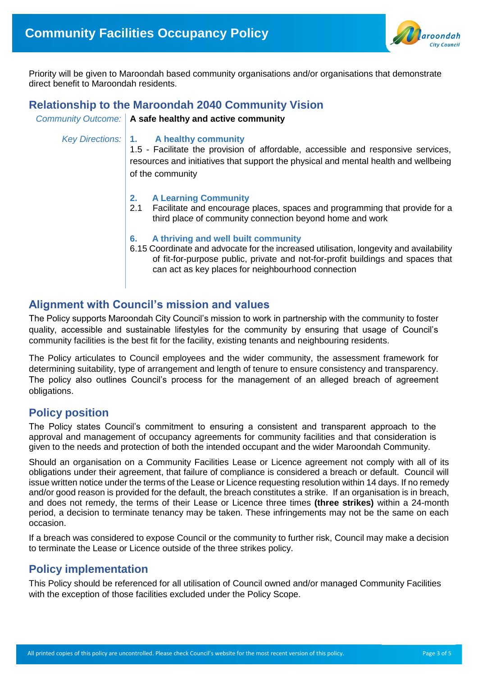

Priority will be given to Maroondah based community organisations and/or organisations that demonstrate direct benefit to Maroondah residents.

### **Relationship to the Maroondah 2040 Community Vision**

*Community Outcome:* **A safe healthy and active community**

*Key Directions:* **1. A healthy community**

1.5 - Facilitate the provision of affordable, accessible and responsive services, resources and initiatives that support the physical and mental health and wellbeing of the community

- **2. A Learning Community**
- 2.1 Facilitate and encourage places, spaces and programming that provide for a third plac*e* of community connection beyond home and work
- **6. A thriving and well built community**
- 6.15 Coordinate and advocate for the increased utilisation, longevity and availability of fit-for-purpose public, private and not-for-profit buildings and spaces that can act as key places for neighbourhood connection

### **Alignment with Council's mission and values**

The Policy supports Maroondah City Council's mission to work in partnership with the community to foster quality, accessible and sustainable lifestyles for the community by ensuring that usage of Council's community facilities is the best fit for the facility, existing tenants and neighbouring residents.

The Policy articulates to Council employees and the wider community, the assessment framework for determining suitability, type of arrangement and length of tenure to ensure consistency and transparency. The policy also outlines Council's process for the management of an alleged breach of agreement obligations.

# **Policy position**

The Policy states Council's commitment to ensuring a consistent and transparent approach to the approval and management of occupancy agreements for community facilities and that consideration is given to the needs and protection of both the intended occupant and the wider Maroondah Community.

Should an organisation on a Community Facilities Lease or Licence agreement not comply with all of its obligations under their agreement, that failure of compliance is considered a breach or default. Council will issue written notice under the terms of the Lease or Licence requesting resolution within 14 days. If no remedy and/or good reason is provided for the default, the breach constitutes a strike. If an organisation is in breach, and does not remedy, the terms of their Lease or Licence three times **(three strikes)** within a 24-month period, a decision to terminate tenancy may be taken. These infringements may not be the same on each occasion.

If a breach was considered to expose Council or the community to further risk, Council may make a decision to terminate the Lease or Licence outside of the three strikes policy.

# **Policy implementation**

This Policy should be referenced for all utilisation of Council owned and/or managed Community Facilities with the exception of those facilities excluded under the Policy Scope.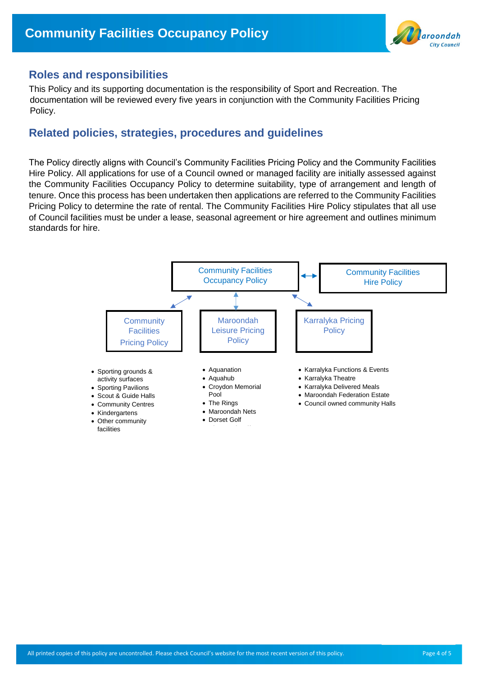

### **Roles and responsibilities**

This Policy and its supporting documentation is the responsibility of Sport and Recreation. The documentation will be reviewed every five years in conjunction with the Community Facilities Pricing Policy.

### **Related policies, strategies, procedures and guidelines**

The Policy directly aligns with Council's Community Facilities Pricing Policy and the Community Facilities Hire Policy. All applications for use of a Council owned or managed facility are initially assessed against the Community Facilities Occupancy Policy to determine suitability, type of arrangement and length of tenure. Once this process has been undertaken then applications are referred to the Community Facilities Pricing Policy to determine the rate of rental. The Community Facilities Hire Policy stipulates that all use of Council facilities must be under a lease, seasonal agreement or hire agreement and outlines minimum standards for hire.